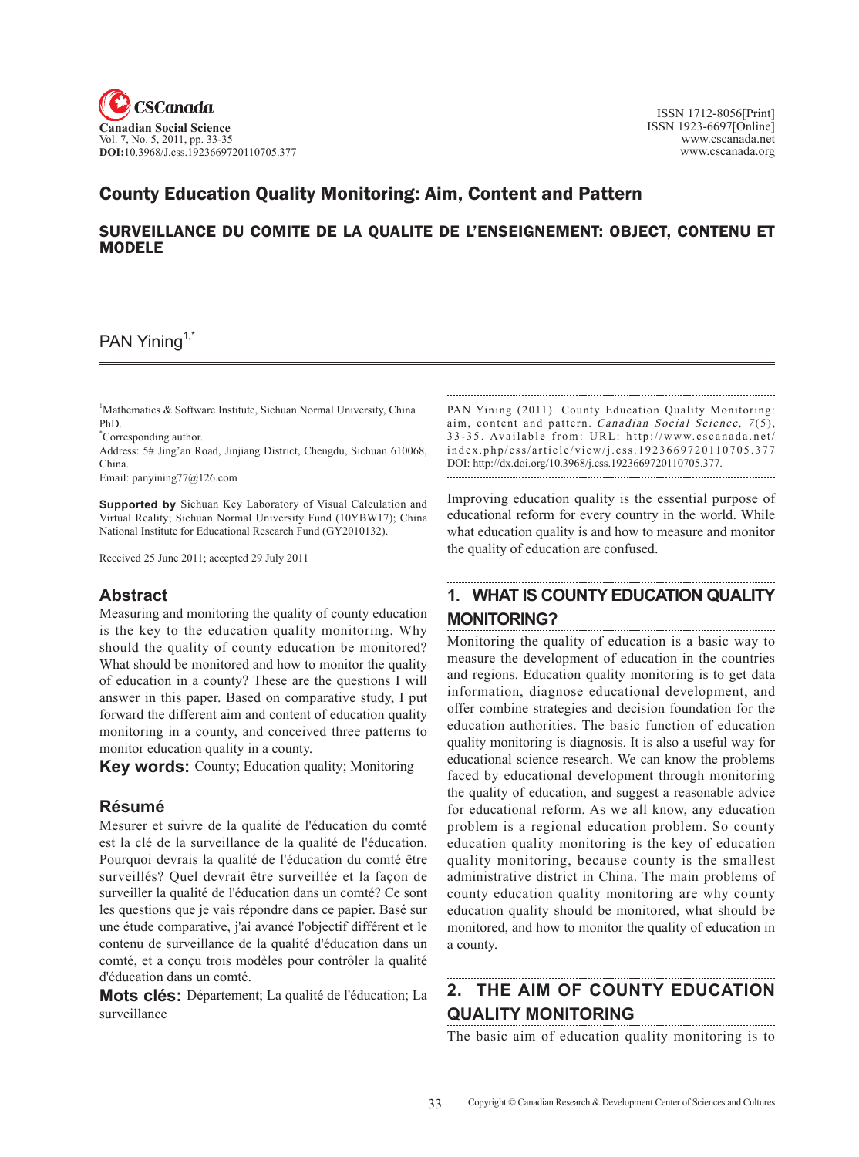

### County Education Quality Monitoring: aim, content and pattern

### SURVEILLANCE DU COMITE DE LA QUALITE DE L'ENSEIGNEMENT: OBJECT, CONTENU ET MODELE

### PAN Yining<sup>1,7</sup>

1 Mathematics & Software Institute, Sichuan Normal University, China PhD.

\* Corresponding author.

Address: 5# Jing'an Road, Jinjiang District, Chengdu, Sichuan 610068, China.

Email: panyining77@126.com

**Supported by** Sichuan Key Laboratory of Visual Calculation and Virtual Reality; Sichuan Normal University Fund (10YBW17); China National Institute for Educational Research Fund (GY2010132).

Received 25 June 2011; accepted 29 July 2011

### **Abstract**

Measuring and monitoring the quality of county education is the key to the education quality monitoring. Why should the quality of county education be monitored? What should be monitored and how to monitor the quality of education in a county? These are the questions I will answer in this paper. Based on comparative study, I put forward the different aim and content of education quality monitoring in a county, and conceived three patterns to monitor education quality in a county.

**Key words:** County; Education quality; Monitoring

### **Résumé**

Mesurer et suivre de la qualité de l'éducation du comté est la clé de la surveillance de la qualité de l'éducation. Pourquoi devrais la qualité de l'éducation du comté être surveillés? Quel devrait être surveillée et la façon de surveiller la qualité de l'éducation dans un comté? Ce sont les questions que je vais répondre dans ce papier. Basé sur une étude comparative, j'ai avancé l'objectif différent et le contenu de surveillance de la qualité d'éducation dans un comté, et a conçu trois modèles pour contrôler la qualité d'éducation dans un comté.

**Mots clés:** Département; La qualité de l'éducation; La surveillance

PAN Yining (2011). County Education Quality Monitoring: aim, content and pattern. Canadian Social Science, 7(5), 33-35. Available from: URL: http://www.cscanada.net/ index.php/css/article/view/j.css.1923669720110705.377 DOI: http://dx.doi.org/10.3968/j.css.1923669720110705.377. 

Improving education quality is the essential purpose of educational reform for every country in the world. While what education quality is and how to measure and monitor the quality of education are confused.

# **1. What is county education quality monitoring?**

Monitoring the quality of education is a basic way to measure the development of education in the countries and regions. Education quality monitoring is to get data information, diagnose educational development, and offer combine strategies and decision foundation for the education authorities. The basic function of education quality monitoring is diagnosis. It is also a useful way for educational science research. We can know the problems faced by educational development through monitoring the quality of education, and suggest a reasonable advice for educational reform. As we all know, any education problem is a regional education problem. So county education quality monitoring is the key of education quality monitoring, because county is the smallest administrative district in China. The main problems of county education quality monitoring are why county education quality should be monitored, what should be monitored, and how to monitor the quality of education in a county.

# **2. The aim of county education quality monitoring**

The basic aim of education quality monitoring is to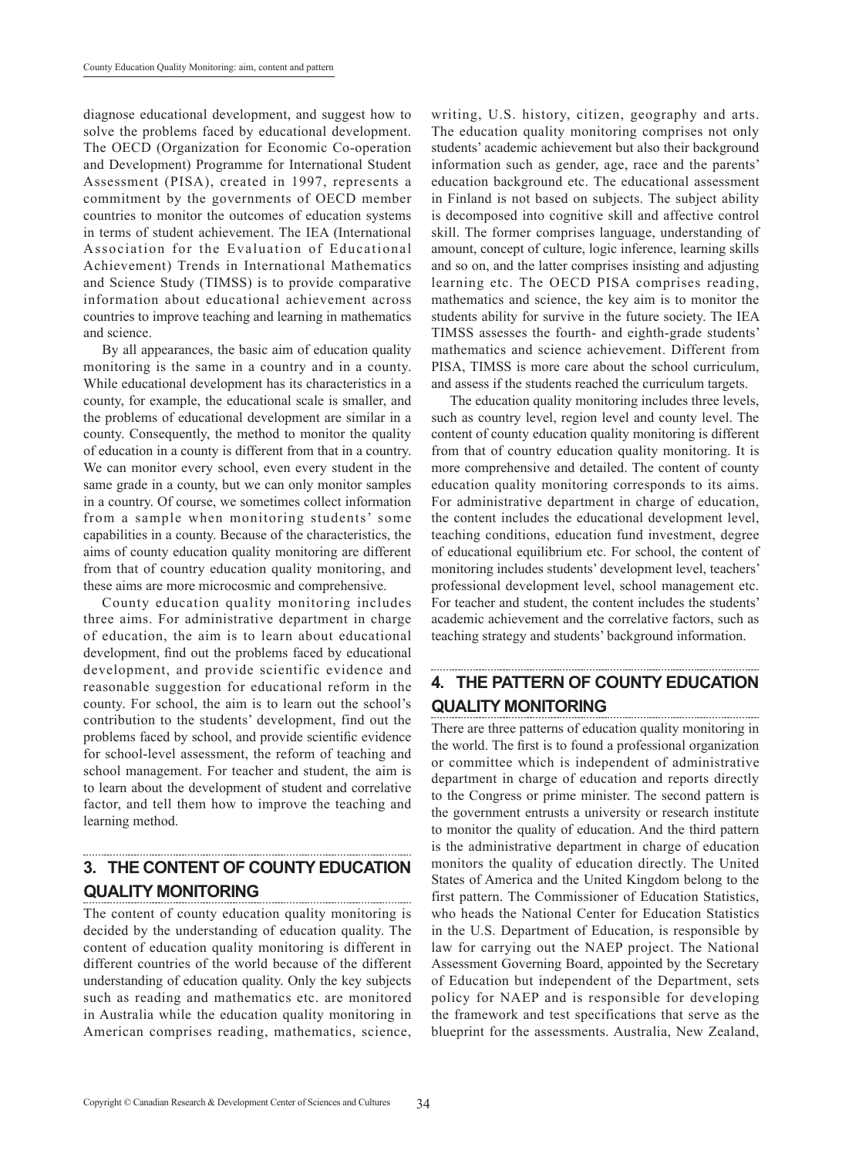diagnose educational development, and suggest how to solve the problems faced by educational development. The OECD (Organization for Economic Co-operation and Development) Programme for International Student Assessment (PISA), created in 1997, represents a commitment by the governments of OECD member countries to monitor the outcomes of education systems in terms of student achievement. The IEA (International Association for the Evaluation of Educational Achievement) Trends in International Mathematics and Science Study (TIMSS) is to provide comparative information about educational achievement across countries to improve teaching and learning in mathematics and science.

By all appearances, the basic aim of education quality monitoring is the same in a country and in a county. While educational development has its characteristics in a county, for example, the educational scale is smaller, and the problems of educational development are similar in a county. Consequently, the method to monitor the quality of education in a county is different from that in a country. We can monitor every school, even every student in the same grade in a county, but we can only monitor samples in a country. Of course, we sometimes collect information from a sample when monitoring students' some capabilities in a county. Because of the characteristics, the aims of county education quality monitoring are different from that of country education quality monitoring, and these aims are more microcosmic and comprehensive.

County education quality monitoring includes three aims. For administrative department in charge of education, the aim is to learn about educational development, find out the problems faced by educational development, and provide scientific evidence and reasonable suggestion for educational reform in the county. For school, the aim is to learn out the school's contribution to the students' development, find out the problems faced by school, and provide scientific evidence for school-level assessment, the reform of teaching and school management. For teacher and student, the aim is to learn about the development of student and correlative factor, and tell them how to improve the teaching and learning method.

### **3. The content of county education quality monitoring**

The content of county education quality monitoring is decided by the understanding of education quality. The content of education quality monitoring is different in different countries of the world because of the different understanding of education quality. Only the key subjects such as reading and mathematics etc. are monitored in Australia while the education quality monitoring in American comprises reading, mathematics, science, writing, U.S. history, citizen, geography and arts. The education quality monitoring comprises not only students' academic achievement but also their background information such as gender, age, race and the parents' education background etc. The educational assessment in Finland is not based on subjects. The subject ability is decomposed into cognitive skill and affective control skill. The former comprises language, understanding of amount, concept of culture, logic inference, learning skills and so on, and the latter comprises insisting and adjusting learning etc. The OECD PISA comprises reading, mathematics and science, the key aim is to monitor the students ability for survive in the future society. The IEA TIMSS assesses the fourth- and eighth-grade students' mathematics and science achievement. Different from PISA, TIMSS is more care about the school curriculum, and assess if the students reached the curriculum targets.

The education quality monitoring includes three levels, such as country level, region level and county level. The content of county education quality monitoring is different from that of country education quality monitoring. It is more comprehensive and detailed. The content of county education quality monitoring corresponds to its aims. For administrative department in charge of education, the content includes the educational development level, teaching conditions, education fund investment, degree of educational equilibrium etc. For school, the content of monitoring includes students' development level, teachers' professional development level, school management etc. For teacher and student, the content includes the students' academic achievement and the correlative factors, such as teaching strategy and students' background information.

## **4. The pattern of county education quality monitoring**

There are three patterns of education quality monitoring in the world. The first is to found a professional organization or committee which is independent of administrative department in charge of education and reports directly to the Congress or prime minister. The second pattern is the government entrusts a university or research institute to monitor the quality of education. And the third pattern is the administrative department in charge of education monitors the quality of education directly. The United States of America and the United Kingdom belong to the first pattern. The Commissioner of Education Statistics, who heads the National Center for Education Statistics in the U.S. Department of Education, is responsible by law for carrying out the NAEP project. The National Assessment Governing Board, appointed by the Secretary of Education but independent of the Department, sets policy for NAEP and is responsible for developing the framework and test specifications that serve as the blueprint for the assessments. Australia, New Zealand,